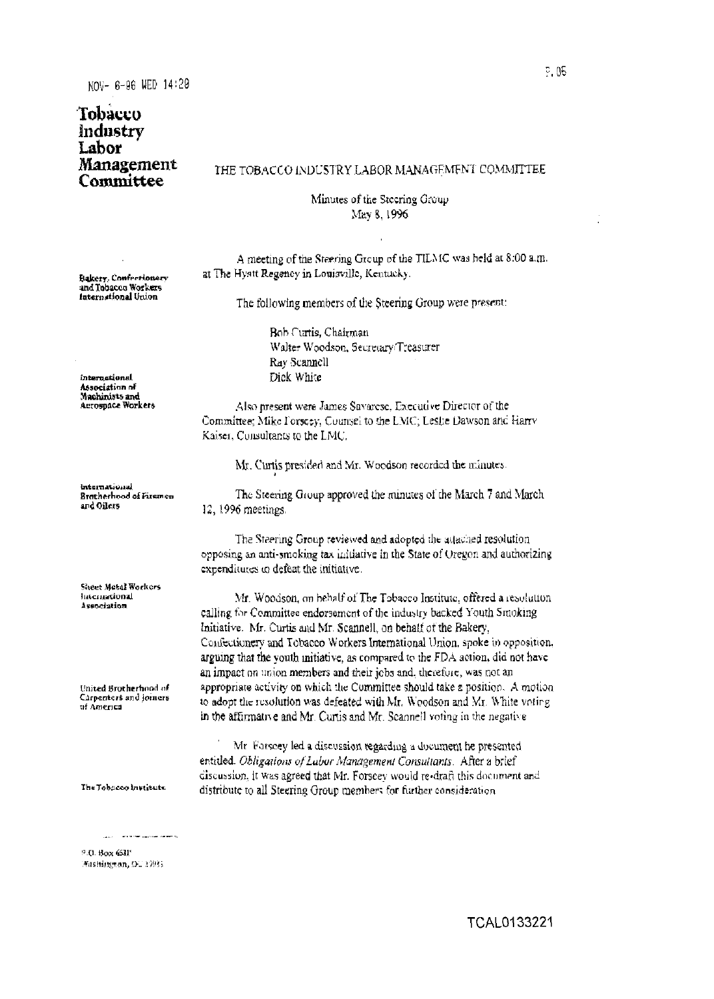## Tobacco **Industry** Labor **Management** Committee

## THE TOBACCO INDUSTRY LABOR MANAGEMENT COMMITTEE

Minutes of the Steering Group May 8, 1996

A meeting of the Steering Group of the TILMC was held at 8:00 a.m. at The Hyatt Regency in Louisville, Kentucky.

Bakery, Confectionery and Tobacco Workers International Union

The following members of the Steering Group were present:

Bob Curtis, Chairman Walter Woodson, Secretary/Treasurer Ray Scannell Dick White

Also present were James Savarese, Executive Director of the Committee; Mike Forscey, Counsel to the LMC; Leslie Dawson and Harry Kaiser, Consultants to the LMC.

Mr. Curtis presided and Mr. Woodson recorded the minutes.

The Steering Group approved the minutes of the March 7 and March 12, 1996 meetings.

The Steering Group reviewed and adopted the attached resolution opposing an anti-smoking tax initiative in the State of Oregon and authorizing expenditutes to defeat the initiative.

Mr. Woodson, on hehalf of The Tobacco Institute, offered a resolution calling for Committee endorsement of the industry backed Youth Smoking Initiative. Mr. Curtis and Mr. Scannell, on behalf of the Bakery, Confectionery and Tobacco Workers International Union, spoke in opposition, arguing that the youth initiative, as compared to the FDA action, did not have an impact on union members and their jobs and, therefore, was not an appropriate activity on which the Committee should take a position. A motion to adopt the resolution was defeated with Mr. Woodson and Mr. White voting in the affirmative and Mr. Curtis and Mr. Scannell voting in the negative

Mr. Forscey led a discussion regarding a document he presented entitled. Obligations of Labor Management Consultants. After a brief discussion, it was agreed that Mr. Forseev would re-draft this document and distribute to all Steering Group members for further consideration.

international Association of Machinists and<br>Acrospace Workers

international Bratherhood of Firemen and Oilers

Sheet Metal Workers **International** Association

United Brotherhood of Carpenters and joiners of America

The Tobacco Institute

9.0. Box 631' Mashimman, DU 1993;

and the company's company of the company's